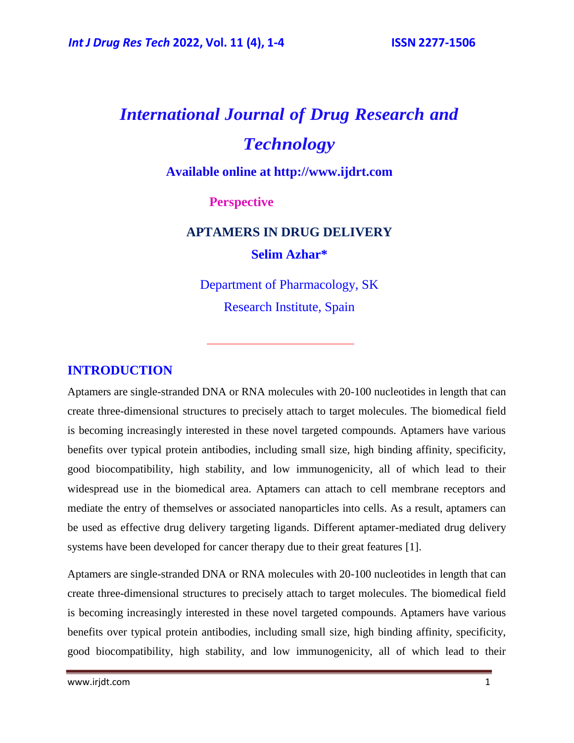# *International Journal of Drug Research and Technology*

**Available online at [http://www.ijdrt.com](http://www.ijdrt.com/)**

### **Perspective**

## **APTAMERS IN DRUG DELIVERY Selim Azhar\***

Department of Pharmacology, SK Research Institute, Spain

### **INTRODUCTION**

Aptamers are single-stranded DNA or RNA molecules with 20-100 nucleotides in length that can create three-dimensional structures to precisely attach to target molecules. The biomedical field is becoming increasingly interested in these novel targeted compounds. Aptamers have various benefits over typical protein antibodies, including small size, high binding affinity, specificity, good biocompatibility, high stability, and low immunogenicity, all of which lead to their widespread use in the biomedical area. Aptamers can attach to cell membrane receptors and mediate the entry of themselves or associated nanoparticles into cells. As a result, aptamers can be used as effective drug delivery targeting ligands. Different aptamer-mediated drug delivery systems have been developed for cancer therapy due to their great features [1].

Aptamers are single-stranded DNA or RNA molecules with 20-100 nucleotides in length that can create three-dimensional structures to precisely attach to target molecules. The biomedical field is becoming increasingly interested in these novel targeted compounds. Aptamers have various benefits over typical protein antibodies, including small size, high binding affinity, specificity, good biocompatibility, high stability, and low immunogenicity, all of which lead to their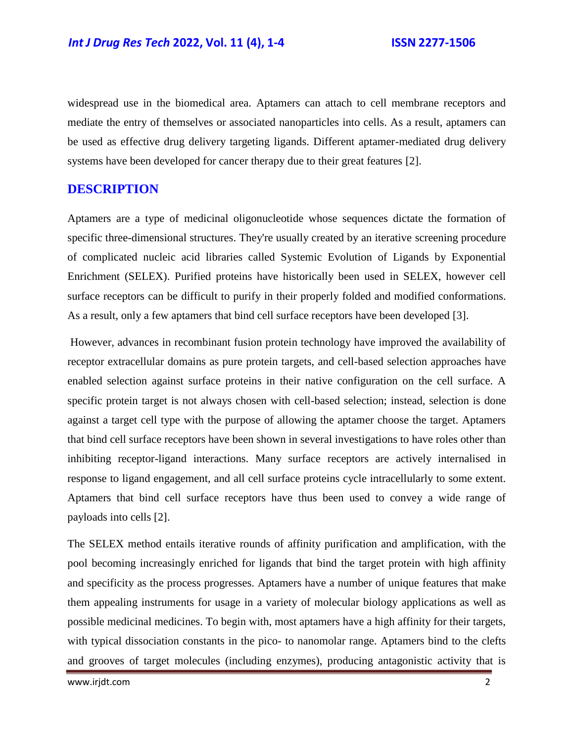widespread use in the biomedical area. Aptamers can attach to cell membrane receptors and mediate the entry of themselves or associated nanoparticles into cells. As a result, aptamers can be used as effective drug delivery targeting ligands. Different aptamer-mediated drug delivery systems have been developed for cancer therapy due to their great features [2].

### **DESCRIPTION**

Aptamers are a type of medicinal oligonucleotide whose sequences dictate the formation of specific three-dimensional structures. They're usually created by an iterative screening procedure of complicated nucleic acid libraries called Systemic Evolution of Ligands by Exponential Enrichment (SELEX). Purified proteins have historically been used in SELEX, however cell surface receptors can be difficult to purify in their properly folded and modified conformations. As a result, only a few aptamers that bind cell surface receptors have been developed [3].

However, advances in recombinant fusion protein technology have improved the availability of receptor extracellular domains as pure protein targets, and cell-based selection approaches have enabled selection against surface proteins in their native configuration on the cell surface. A specific protein target is not always chosen with cell-based selection; instead, selection is done against a target cell type with the purpose of allowing the aptamer choose the target. Aptamers that bind cell surface receptors have been shown in several investigations to have roles other than inhibiting receptor-ligand interactions. Many surface receptors are actively internalised in response to ligand engagement, and all cell surface proteins cycle intracellularly to some extent. Aptamers that bind cell surface receptors have thus been used to convey a wide range of payloads into cells [2].

The SELEX method entails iterative rounds of affinity purification and amplification, with the pool becoming increasingly enriched for ligands that bind the target protein with high affinity and specificity as the process progresses. Aptamers have a number of unique features that make them appealing instruments for usage in a variety of molecular biology applications as well as possible medicinal medicines. To begin with, most aptamers have a high affinity for their targets, with typical dissociation constants in the pico- to nanomolar range. Aptamers bind to the clefts and grooves of target molecules (including enzymes), producing antagonistic activity that is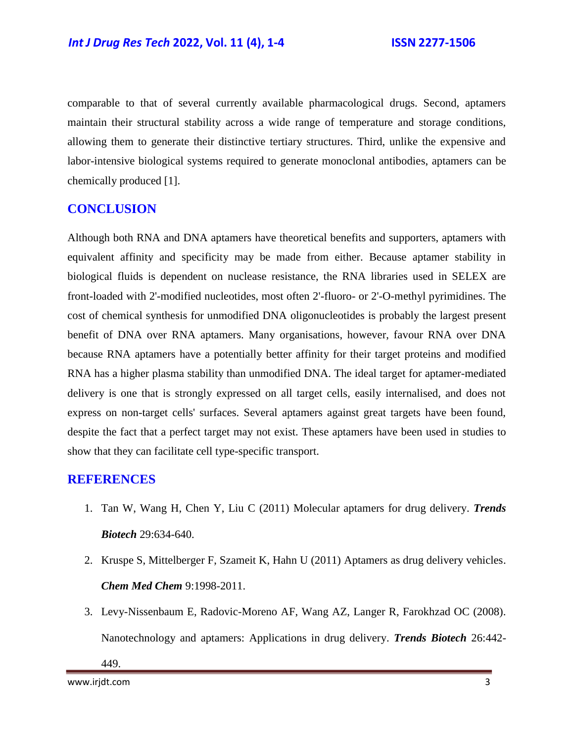comparable to that of several currently available pharmacological drugs. Second, aptamers maintain their structural stability across a wide range of temperature and storage conditions, allowing them to generate their distinctive tertiary structures. Third, unlike the expensive and labor-intensive biological systems required to generate monoclonal antibodies, aptamers can be chemically produced [1].

### **CONCLUSION**

Although both RNA and DNA aptamers have theoretical benefits and supporters, aptamers with equivalent affinity and specificity may be made from either. Because aptamer stability in biological fluids is dependent on nuclease resistance, the RNA libraries used in SELEX are front-loaded with 2'-modified nucleotides, most often 2'-fluoro- or 2'-O-methyl pyrimidines. The cost of chemical synthesis for unmodified DNA oligonucleotides is probably the largest present benefit of DNA over RNA aptamers. Many organisations, however, favour RNA over DNA because RNA aptamers have a potentially better affinity for their target proteins and modified RNA has a higher plasma stability than unmodified DNA. The ideal target for aptamer-mediated delivery is one that is strongly expressed on all target cells, easily internalised, and does not express on non-target cells' surfaces. Several aptamers against great targets have been found, despite the fact that a perfect target may not exist. These aptamers have been used in studies to show that they can facilitate cell type-specific transport.

#### **REFERENCES**

- 1. Tan W, Wang H, Chen Y, Liu C (2011) [Molecular aptamers for drug delivery.](https://www.sciencedirect.com/science/article/pii/S0167779911001132) *Trends Biotech* 29:634-640.
- 2. Kruspe S, Mittelberger F, Szameit K, Hahn U (2011) [Aptamers as drug delivery vehicles.](https://chemistry-europe.onlinelibrary.wiley.com/doi/abs/10.1002/cmdc.201402163) *Chem Med Chem* 9:1998-2011.
- 3. Levy-Nissenbaum E, Radovic-Moreno AF, Wang AZ, Langer R, Farokhzad OC (2008). [Nanotechnology and aptamers: Applications in drug delivery.](https://www.sciencedirect.com/science/article/pii/S0167779908001534) *Trends Biotech* 26:442-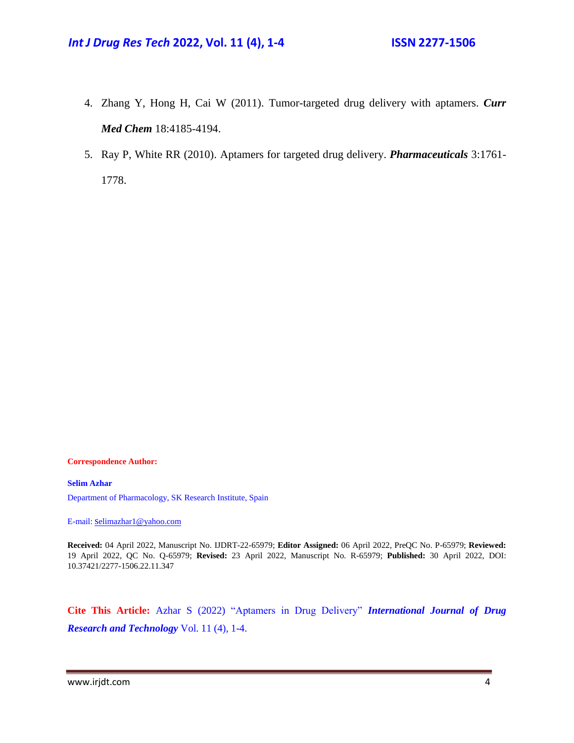- 4. Zhang Y, Hong H, Cai W (2011). [Tumor-targeted drug delivery with aptamers.](https://www.ingentaconnect.com/content/ben/cmc/2011/00000018/00000027/art00010) *Curr Med Chem* 18:4185-4194.
- 5. Ray P, White RR (2010). [Aptamers for targeted drug delivery.](https://www.mdpi.com/1424-8247/3/6/1761) *Pharmaceuticals* 3:1761- 1778.

**Correspondence Author:**

**Selim Azhar** Department of Pharmacology, SK Research Institute, Spain

E-mail: s[elimazhar1@yahoo.com](mailto:selimazhar1@yahoo.com)

**Received:** 04 April 2022, Manuscript No. IJDRT-22-65979; **Editor Assigned:** 06 April 2022, PreQC No. P-65979; **Reviewed:**  19 April 2022, QC No. Q-65979; **Revised:** 23 April 2022, Manuscript No. R-65979; **Published:** 30 April 2022, DOI: 10.37421/2277-1506.22.11.347

**Cite This Article:** Azhar S (2022) "Aptamers in Drug Delivery" *International Journal of Drug Research and Technology* Vol. 11 (4), 1-4.

www.irjdt.com